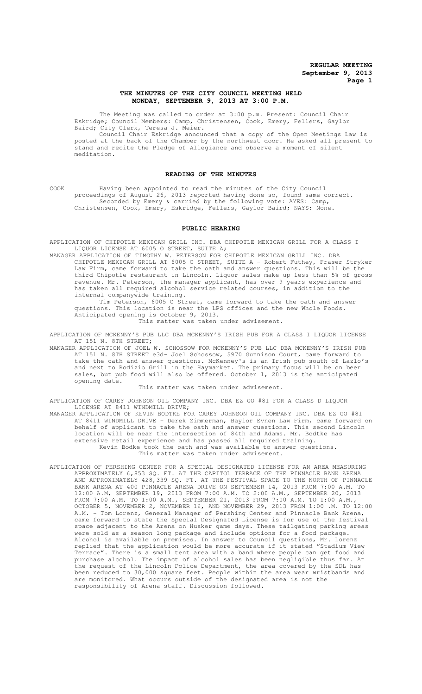## **THE MINUTES OF THE CITY COUNCIL MEETING HELD MONDAY, SEPTEMBER 9, 2013 AT 3:00 P.M.**

The Meeting was called to order at 3:00 p.m. Present: Council Chair Eskridge; Council Members: Camp, Christensen, Cook, Emery, Fellers, Gaylor Baird; City Clerk, Teresa J. Meier.

Council Chair Eskridge announced that a copy of the Open Meetings Law is posted at the back of the Chamber by the northwest door. He asked all present to stand and recite the Pledge of Allegiance and observe a moment of silent meditation.

## **READING OF THE MINUTES**

COOK Having been appointed to read the minutes of the City Council proceedings of August 26, 2013 reported having done so, found same correct. Seconded by Emery & carried by the following vote: AYES: Camp, Christensen, Cook, Emery, Eskridge, Fellers, Gaylor Baird; NAYS: None.

#### **PUBLIC HEARING**

APPLICATION OF CHIPOTLE MEXICAN GRILL INC. DBA CHIPOTLE MEXICAN GRILL FOR A CLASS I LIQUOR LICENSE AT 6005 O STREET, SUITE A;

MANAGER APPLICATION OF TIMOTHY W. PETERSON FOR CHIPOTLE MEXICAN GRILL INC. DBA CHIPOTLE MEXICAN GRILL AT 6005 O STREET, SUITE A - Robert Futhey, Fraser Stryker Law Firm, came forward to take the oath and answer questions. This will be the third Chipotle restaurant in Lincoln. Liquor sales make up less than 5% of gross revenue. Mr. Peterson, the manager applicant, has over 9 years experience and has taken all required alcohol service related courses, in addition to the internal companywide training.

Tim Peterson, 6005 O Street, came forward to take the oath and answer questions. This location is near the LPS offices and the new Whole Foods. Anticipated opening is October 9, 2013.

This matter was taken under advisement.

APPLICATION OF MCKENNY'S PUB LLC DBA MCKENNY'S IRISH PUB FOR A CLASS I LIQUOR LICENSE AT 151 N. 8TH STREET;

MANAGER APPLICATION OF JOEL W. SCHOSSOW FOR MCKENNY'S PUB LLC DBA MCKENNY'S IRISH PUB AT 151 N. 8TH STREET e3d- Joel Schossow, 5970 Gunnison Court, came forward to take the oath and answer questions. McKenney's is an Irish pub south of Lazlo's and next to Rodizio Grill in the Haymarket. The primary focus will be on beer sales, but pub food will also be offered. October 1, 2013 is the anticipated opening date.

## This matter was taken under advisement.

APPLICATION OF CAREY JOHNSON OIL COMPANY INC. DBA EZ GO #81 FOR A CLASS D LIQUOR LICENSE AT 8411 WINDMILL DRIVE;

MANAGER APPLICATION OF KEVIN BODTKE FOR CAREY JOHNSON OIL COMPANY INC. DBA EZ GO #81 AT 8411 WINDMILL DRIVE - Derek Zimmerman, Baylor Evnen Law Firm, came forward on behalf of applicant to take the oath and answer questions. This second Lincoln location will be near the intersection of 84th and Adams. Mr. Bodtke has extensive retail experience and has passed all required training. Kevin Bodke took the oath and was available to answer questions. This matter was taken under advisement.

APPLICATION OF PERSHING CENTER FOR A SPECIAL DESIGNATED LICENSE FOR AN AREA MEASURING APPROXIMATELY 6,853 SQ. FT. AT THE CAPITOL TERRACE OF THE PINNACLE BANK ARENA AND APPROXIMATELY 428,339 SQ. FT. AT THE FESTIVAL SPACE TO THE NORTH OF PINNACLE BANK ARENA AT 400 PINNACLE ARENA DRIVE ON SEPTEMBER 14, 2013 FROM 7:00 A.M. TO 12:00 A.M, SEPTEMBER 19, 2013 FROM 7:00 A.M. TO 2:00 A.M., SEPTEMBER 20, 2013 FROM 7:00 A.M. TO 1:00 A.M., SEPTEMBER 21, 2013 FROM 7:00 A.M. TO 1:00 A.M., OCTOBER 5, NOVEMBER 2, NOVEMBER 16, AND NOVEMBER 29, 2013 FROM 1:00 .M. TO 12:00 A.M. - Tom Lorenz, General Manager of Pershing Center and Pinnacle Bank Arena, came forward to state the Special Designated License is for use of the festival space adjacent to the Arena on Husker game days. These tailgating parking areas were sold as a season long package and include options for a food package. Alcohol is available on premises. In answer to Council questions, Mr. Lorenz replied that the application would be more accurate if it stated "Stadium View Terrace". There is a small tent area with a band where people can get food and purchase alcohol. The impact of alcohol sales has been negligible thus far. At the request of the Lincoln Police Department, the area covered by the SDL has been reduced to 30,000 square feet. People within the area wear wristbands and are monitored. What occurs outside of the designated area is not the responsibility of Arena staff. Discussion followed.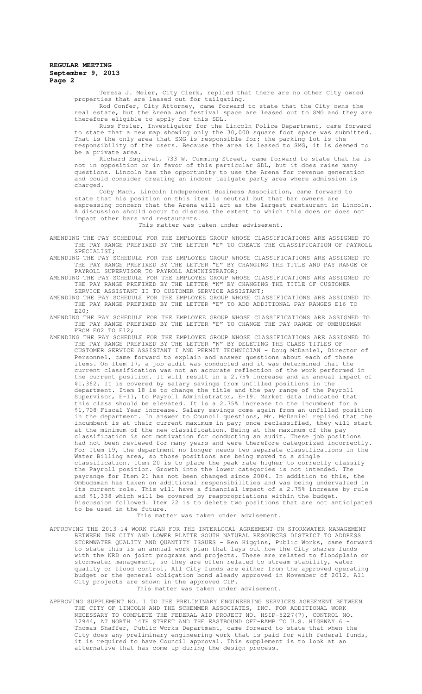Teresa J. Meier, City Clerk, replied that there are no other City owned properties that are leased out for tailgating.

Rod Confer, City Attorney, came forward to state that the City owns the real estate, but the Arena and festival space are leased out to SMG and they are therefore eligible to apply for this SDL.

Russ Fosler, Investigator for the Lincoln Police Department, came forward to state that a new map showing only the 30,000 square foot space was submitted. That is the only area that SMG is responsible for; the parking lot is the responsibility of the users. Because the area is leased to SMG, it is deemed to be a private area.

Richard Esquivel, 733 W. Cumming Street, came forward to state that he is not in opposition or in favor of this particular SDL, but it does raise many questions. Lincoln has the opportunity to use the Arena for revenue generation and could consider creating an indoor tailgate party area where admission is charged.

Coby Mach, Lincoln Independent Business Association, came forward to state that his position on this item is neutral but that bar owners are expressing concern that the Arena will act as the largest restaurant in Lincoln. A discussion should occur to discuss the extent to which this does or does not impact other bars and restaurants.

This matter was taken under advisement.

- AMENDING THE PAY SCHEDULE FOR THE EMPLOYEE GROUP WHOSE CLASSIFICATIONS ARE ASSIGNED TO THE PAY RANGE PREFIXED BY THE LETTER "E" TO CREATE THE CLASSIFICATION OF PAYROLL SPECIALIST;
- AMENDING THE PAY SCHEDULE FOR THE EMPLOYEE GROUP WHOSE CLASSIFICATIONS ARE ASSIGNED TO THE PAY RANGE PREFIXED BY THE LETTER "E" BY CHANGING THE TITLE AND PAY RANGE OF PAYROLL SUPERVISOR TO PAYROLL ADMINISTRATOR;
- AMENDING THE PAY SCHEDULE FOR THE EMPLOYEE GROUP WHOSE CLASSIFICATIONS ARE ASSIGNED TO THE PAY RANGE PREFIXED BY THE LETTER "N" BY CHANGING THE TITLE OF CUSTOMER SERVICE ASSISTANT II TO CUSTOMER SERVICE ASSISTANT;
- AMENDING THE PAY SCHEDULE FOR THE EMPLOYEE GROUP WHOSE CLASSIFICATIONS ARE ASSIGNED TO THE PAY RANGE PREFIXED BY THE LETTER "E" TO ADD ADDITIONAL PAY RANGES E16 TO E20;
- AMENDING THE PAY SCHEDULE FOR THE EMPLOYEE GROUP WHOSE CLASSIFICATIONS ARE ASSIGNED TO THE PAY RANGE PREFIXED BY THE LETTER "E" TO CHANGE THE PAY RANGE OF OMBUDSMAN FROM E02 TO E12;
- AMENDING THE PAY SCHEDULE FOR THE EMPLOYEE GROUP WHOSE CLASSIFICATIONS ARE ASSIGNED TO THE PAY RANGE PREFIXED BY THE LETTER "N" BY DELETING THE CLASS TITLES OF CUSTOMER SERVICE ASSISTANT I AND PERMIT TECHNICIAN - Doug McDaniel, Director of Personnel, came forward to explain and answer questions about each of these items. On Item 17, a job audit was conducted and it was determined that the current classification was not an accurate reflection of the work performed in the current position. It will result in a 2.75% increase and an annual impact of \$1,362. It is covered by salary savings from unfilled positions in the department. Item 18 is to change the title and the pay range of the Payroll Supervisor, E-11, to Payroll Administrator, E-19. Market data indicated that this class should be elevated. It is a 2.75% increase to the incumbent for a \$1,708 Fiscal Year increase. Salary savings come again from an unfilled position in the department. In answer to Council questions, Mr. McDaniel replied that the incumbent is at their current maximum in pay; once reclassified, they will start at the minimum of the new classification. Being at the maximum of the pay classification is not motivation for conducting an audit. These job positions had not been reviewed for many years and were therefore categorized incorrectly. For Item 19, the department no longer needs two separate classifications in the Water Billing area, so those positions are being moved to a single classification. Item 20 is to place the peak rate higher to correctly classify the Payroll position. Growth into the lower categories is not intended. The payrange for Item 21 has not been changed since 2004. In addition to this, the Ombudsman has taken on additional responsibilities and was being undervalued in its current role. This will have a financial impact of a 2.75% increase by rule and \$1,338 which will be covered by reappropriations within the budget. Discussion followed. Item 22 is to delete two positions that are not anticipated to be used in the future.

This matter was taken under advisement.

- APPROVING THE 2013-14 WORK PLAN FOR THE INTERLOCAL AGREEMENT ON STORMWATER MANAGEMENT BETWEEN THE CITY AND LOWER PLATTE SOUTH NATURAL RESOURCES DISTRICT TO ADDRESS STORMWATER QUALITY AND QUANTITY ISSUES - Ben Higgins, Public Works, came forward to state this is an annual work plan that lays out how the City shares funds with the NRD on joint programs and projects. These are related to floodplain or stormwater management, so they are often related to stream stability, water quality or flood control. All City funds are either from the approved operating budget or the general obligation bond aleady approved in November of 2012. All City projects are shown in the approved CIP. This matter was taken under advisement.
- APPROVING SUPPLEMENT NO. 1 TO THE PRELIMINARY ENGINEERING SERVICES AGREEMENT BETWEEN THE CITY OF LINCOLN AND THE SCHEMMER ASSOCIATES, INC. FOR ADDITIONAL WORK NECESSARY TO COMPLETE THE FEDERAL AID PROJECT NO. HSIP-5227(7), CONTROL NO. 12944, AT NORTH 14TH STREET AND THE EASTBOUND OFF-RAMP TO U.S. HIGHWAY 6 - Thomas Shaffer, Public Works Department, came forward to state that when the City does any preliminary engineering work that is paid for with federal funds, it is required to have Council approval. This supplement is to look at an alternative that has come up during the design process.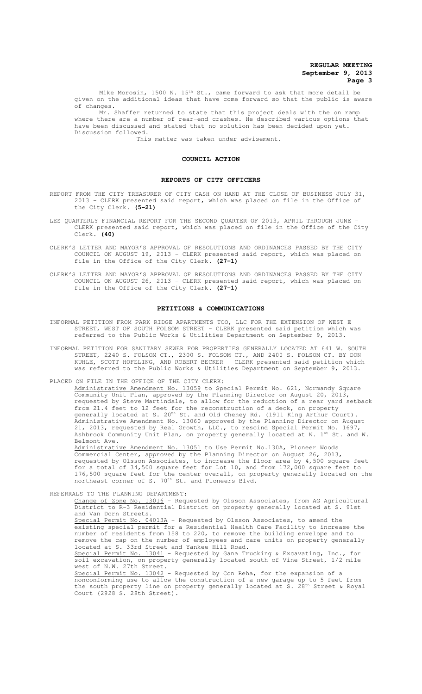Mike Morosin, 1500 N.  $15<sup>th</sup>$  St., came forward to ask that more detail be given on the additional ideas that have come forward so that the public is aware of changes.

Mr. Shaffer returned to state that this project deals with the on ramp where there are a number of rear-end crashes. He described various options that have been discussed and stated that no solution has been decided upon yet. Discussion followed.

This matter was taken under advisement.

#### **COUNCIL ACTION**

#### **REPORTS OF CITY OFFICERS**

- REPORT FROM THE CITY TREASURER OF CITY CASH ON HAND AT THE CLOSE OF BUSINESS JULY 31, 2013 - CLERK presented said report, which was placed on file in the Office of the City Clerk. **(5-21)**
- LES QUARTERLY FINANCIAL REPORT FOR THE SECOND QUARTER OF 2013, APRIL THROUGH JUNE -CLERK presented said report, which was placed on file in the Office of the City Clerk. **(40)**
- CLERK'S LETTER AND MAYOR'S APPROVAL OF RESOLUTIONS AND ORDINANCES PASSED BY THE CITY COUNCIL ON AUGUST 19, 2013 - CLERK presented said report, which was placed on file in the Office of the City Clerk. **(27-1)**

CLERK'S LETTER AND MAYOR'S APPROVAL OF RESOLUTIONS AND ORDINANCES PASSED BY THE CITY COUNCIL ON AUGUST 26, 2013 - CLERK presented said report, which was placed on file in the Office of the City Clerk. **(27-1)**

#### **PETITIONS & COMMUNICATIONS**

- INFORMAL PETITION FROM PARK RIDGE APARTMENTS TOO, LLC FOR THE EXTENSION OF WEST E STREET, WEST OF SOUTH FOLSOM STREET - CLERK presented said petition which was referred to the Public Works & Utilities Department on September 9, 2013.
- INFORMAL PETITION FOR SANITARY SEWER FOR PROPERTIES GENERALLY LOCATED AT 641 W. SOUTH STREET, 2240 S. FOLSOM CT., 2300 S. FOLSOM CT., AND 2400 S. FOLSOM CT. BY DON KUHLE, SCOTT HOFELING, AND ROBERT BECKER - CLERK presented said petition which was referred to the Public Works & Utilities Department on September 9, 2013.

PLACED ON FILE IN THE OFFICE OF THE CITY CLERK:

Administrative Amendment No. 13059 to Special Permit No. 621, Normandy Community Unit Plan, approved by the Planning Director on August 20, 2013, requested by Steve Martindale, to allow for the reduction of a rear yard setback from 21.4 feet to 12 feet for the reconstruction of a deck, on property generally located at S. 20<sup>th</sup> St. and Old Cheney Rd. (1911 King Arthur Court). Administrative Amendment No. 13060 approved by the Planning Director on August 21, 2013, requested by Real Growth, LLC., to rescind Special Permit No. 1697, Ashbrook Community Unit Plan, on property generally located at N. 1st St. and W. Belmont Ave.

Administrative Amendment No. 13051 to Use Permit No.130A, Pioneer Woods Commercial Center, approved by the Planning Director on August 26, 2013, requested by Olsson Associates, to increase the floor area by 4,500 square feet for a total of 34,500 square feet for Lot 10, and from 172,000 square feet to 176,500 square feet for the center overall, on property generally located on the northeast corner of S. 70<sup>th</sup> St. and Pioneers Blvd.

REFERRALS TO THE PLANNING DEPARTMENT:

Change of Zone No. 13016 - Requested by Olsson Associates, from AG Agricultural District to R-3 Residential District on property generally located at S. 91st and Van Dorn Streets. Special Permit No. 04013A - Requested by Olsson Associates, to amend the existing special permit for a Residential Health Care Facility to increase the number of residents from 158 to 220, to remove the building envelope and to remove the cap on the number of employees and care units on property generally located at S. 33rd Street and Yankee Hill Road. Special Permit No. 13041 - Requested by Gana Trucking & Excavating, Inc., for soil excavation, on property generally located south of Vine Street, 1/2 mile west of N.W. 27th Street. Special Permit No. 13042 - Requested by Con Reha, for the expansion of a nonconforming use to allow the construction of a new garage up to 5 feet from

the south property line on property generally located at S. 28<sup>th</sup> Street & Royal Court (2928 S. 28th Street).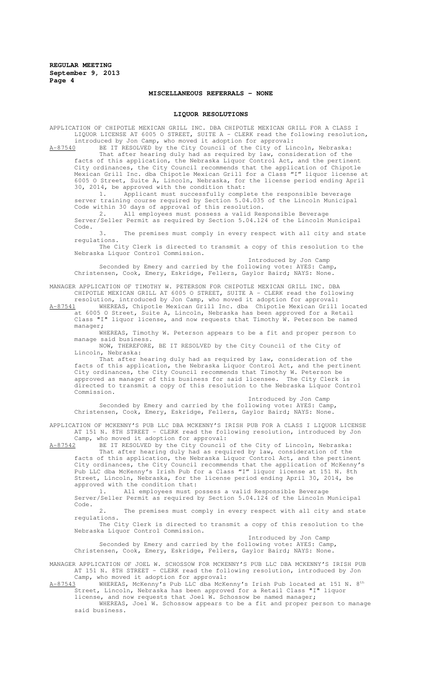## **MISCELLANEOUS REFERRALS - NONE**

## **LIQUOR RESOLUTIONS**

APPLICATION OF CHIPOTLE MEXICAN GRILL INC. DBA CHIPOTLE MEXICAN GRILL FOR A CLASS I LIQUOR LICENSE AT 6005 O STREET, SUITE A - CLERK read the following resolution, introduced by Jon Camp, who moved it adoption for approval:

 $A-87540$  BE IT RESOLVED by the City Council of the City of Lincoln, Nebraska: That after hearing duly had as required by law, consideration of the facts of this application, the Nebraska Liquor Control Act, and the pertinent City ordinances, the City Council recommends that the application of Chipotle Mexican Grill Inc. dba Chipotle Mexican Grill for a Class "I" liquor license at 6005 O Street, Suite A, Lincoln, Nebraska, for the license period ending April 30, 2014, be approved with the condition that:

1. Applicant must successfully complete the responsible beverage server training course required by Section 5.04.035 of the Lincoln Municipal Code within 30 days of approval of this resolution.

2. All employees must possess a valid Responsible Beverage Server/Seller Permit as required by Section 5.04.124 of the Lincoln Municipal Code.

3. The premises must comply in every respect with all city and state regulations.

The City Clerk is directed to transmit a copy of this resolution to the Nebraska Liquor Control Commission.

Introduced by Jon Camp Seconded by Emery and carried by the following vote: AYES: Camp, Christensen, Cook, Emery, Eskridge, Fellers, Gaylor Baird; NAYS: None.

MANAGER APPLICATION OF TIMOTHY W. PETERSON FOR CHIPOTLE MEXICAN GRILL INC. DBA CHIPOTLE MEXICAN GRILL AT 6005 O STREET, SUITE A - CLERK read the following resolution, introduced by Jon Camp, who moved it adoption for approval:

A-87541 WHEREAS, Chipotle Mexican Grill Inc. dba Chipotle Mexican Grill located at 6005 O Street, Suite A, Lincoln, Nebraska has been approved for a Retail Class "I" liquor license, and now requests that Timothy W. Peterson be named manager;

WHEREAS, Timothy W. Peterson appears to be a fit and proper person to manage said business.

NOW, THEREFORE, BE IT RESOLVED by the City Council of the City of Lincoln, Nebraska:

That after hearing duly had as required by law, consideration of the facts of this application, the Nebraska Liquor Control Act, and the pertinent City ordinances, the City Council recommends that Timothy W. Peterson be approved as manager of this business for said licensee. The City Clerk is approved as manager of this business for said licensee. directed to transmit a copy of this resolution to the Nebraska Liquor Control Commission.

Introduced by Jon Camp Seconded by Emery and carried by the following vote: AYES: Camp, Christensen, Cook, Emery, Eskridge, Fellers, Gaylor Baird; NAYS: None.

APPLICATION OF MCKENNY'S PUB LLC DBA MCKENNY'S IRISH PUB FOR A CLASS I LIQUOR LICENSE AT 151 N. 8TH STREET - CLERK read the following resolution, introduced by Jon

Camp, who moved it adoption for approval:<br>A-87542 BE IT RESOLVED by the City Council A-87542 BE IT RESOLVED by the City Council of the City of Lincoln, Nebraska: That after hearing duly had as required by law, consideration of the facts of this application, the Nebraska Liquor Control Act, and the pertinent City ordinances, the City Council recommends that the application of McKenny's Pub LLC dba McKenny's Irish Pub for a Class "I" liquor license at 151 N. 8th Street, Lincoln, Nebraska, for the license period ending April 30, 2014, be approved with the condition that:

1. All employees must possess a valid Responsible Beverage Server/Seller Permit as required by Section 5.04.124 of the Lincoln Municipal Code.

2. The premises must comply in every respect with all city and state regulations.

The City Clerk is directed to transmit a copy of this resolution to the Nebraska Liquor Control Commission.

Introduced by Jon Camp

Seconded by Emery and carried by the following vote: AYES: Camp, Christensen, Cook, Emery, Eskridge, Fellers, Gaylor Baird; NAYS: None.

MANAGER APPLICATION OF JOEL W. SCHOSSOW FOR MCKENNY'S PUB LLC DBA MCKENNY'S IRISH PUB AT 151 N. 8TH STREET - CLERK read the following resolution, introduced by Jon

Camp, who moved it adoption for approval:<br>WHEREAS, McKenny's Pub LLC dba McKenny's Irish Pub located at 151 N. 8<sup>th</sup>  $\texttt{A-87543}$  WHEREAS, McKenny's Pub LLC dba McKenny's Irish Pub located at 151 N. 8th Street, Lincoln, Nebraska has been approved for a Retail Class "I" liquor license, and now requests that Joel W. Schossow be named manager;

WHEREAS, Joel W. Schossow appears to be a fit and proper person to manage said business.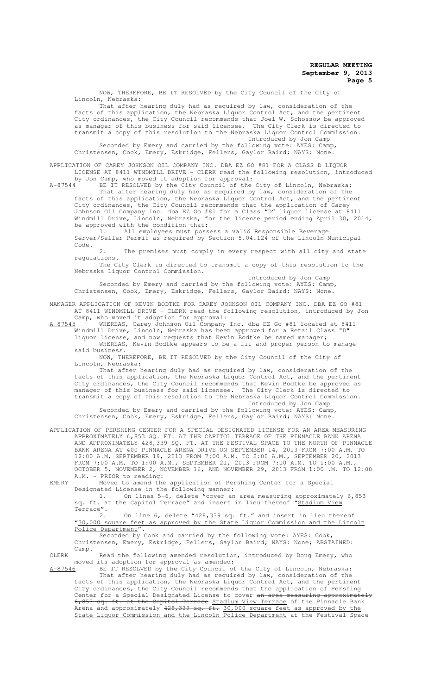NOW, THEREFORE, BE IT RESOLVED by the City Council of the City of Lincoln, Nebraska:

That after hearing duly had as required by law, consideration of the facts of this application, the Nebraska Liquor Control Act, and the pertinent City ordinances, the City Council recommends that Joel W. Schossow be approved as manager of this business for said licensee. The City Clerk is directed to transmit a copy of this resolution to the Nebraska Liquor Control Commission. Introduced by Jon Camp

Seconded by Emery and carried by the following vote: AYES: Camp, Christensen, Cook, Emery, Eskridge, Fellers, Gaylor Baird; NAYS: None.

APPLICATION OF CAREY JOHNSON OIL COMPANY INC. DBA EZ GO #81 FOR A CLASS D LIQUOR LICENSE AT 8411 WINDMILL DRIVE - CLERK read the following resolution, introduced

by Jon Camp, who moved it adoption for approval:<br>A-87544 BE IT RESOLVED by the City Council of the BE IT RESOLVED by the City Council of the City of Lincoln, Nebraska: That after hearing duly had as required by law, consideration of the facts of this application, the Nebraska Liquor Control Act, and the pertinent City ordinances, the City Council recommends that the application of Carey Johnson Oil Company Inc. dba EZ Go #81 for a Class "D" liquor license at 8411 Windmill Drive, Lincoln, Nebraska, for the license period ending April 30, 2014,

be approved with the condition that: 1. All employees must possess a valid Responsible Beverage Server/Seller Permit as required by Section 5.04.124 of the Lincoln Municipal Code.

2. The premises must comply in every respect with all city and state regulations.

The City Clerk is directed to transmit a copy of this resolution to the Nebraska Liquor Control Commission.

Introduced by Jon Camp Seconded by Emery and carried by the following vote: AYES: Camp, Christensen, Cook, Emery, Eskridge, Fellers, Gaylor Baird; NAYS: None.

MANAGER APPLICATION OF KEVIN BODTKE FOR CAREY JOHNSON OIL COMPANY INC. DBA EZ GO #81 AT 8411 WINDMILL DRIVE - CLERK read the following resolution, introduced by Jon Camp, who moved it adoption for approval:

A-87545 WHEREAS, Carey Johnson Oil Company Inc. dba EZ Go #81 located at 8411 Windmill Drive, Lincoln, Nebraska has been approved for a Retail Class "D" liquor license, and now requests that Kevin Bodtke be named manager;

WHEREAS, Kevin Bodtke appears to be a fit and proper person to manage said business.

NOW, THEREFORE, BE IT RESOLVED by the City Council of the City of Lincoln, Nebraska:

That after hearing duly had as required by law, consideration of the facts of this application, the Nebraska Liquor Control Act, and the pertinent City ordinances, the City Council recommends that Kevin Bodtke be approved as manager of this business for said licensee. The City Clerk is directed to transmit a copy of this resolution to the Nebraska Liquor Control Commission. Introduced by Jon Camp

Seconded by Emery and carried by the following vote: AYES: Camp, Christensen, Cook, Emery, Eskridge, Fellers, Gaylor Baird; NAYS: None.

APPLICATION OF PERSHING CENTER FOR A SPECIAL DESIGNATED LICENSE FOR AN AREA MEASURING APPROXIMATELY 6,853 SQ. FT. AT THE CAPITOL TERRACE OF THE PINNACLE BANK ARENA AND APPROXIMATELY 428,339 SQ. FT. AT THE FESTIVAL SPACE TO THE NORTH OF PINNACLE BANK ARENA AT 400 PINNACLE ARENA DRIVE ON SEPTEMBER 14, 2013 FROM 7:00 A.M. TO 12:00 A.M, SEPTEMBER 19, 2013 FROM 7:00 A.M. TO 2:00 A.M., SEPTEMBER 20, 2013 FROM 7:00 A.M. TO 1:00 A.M., SEPTEMBER 21, 2013 FROM 7:00 A.M. TO 1:00 A.M., OCTOBER 5, NOVEMBER 2, NOVEMBER 16, AND NOVEMBER 29, 2013 FROM 1:00 .M. TO 12:00 A.M. - PRIOR to reading:

EMERY Moved to amend the application of Pershing Center for a Special Designated License in the following manner:

1. On lines 5-6, delete "cover an area measuring approximately 6,853 sq. ft. at the Capitol Terrace" and insert in lieu thereof "Stadium View Terrace".

On line 6, delete "428,339 sq. ft." and insert in lieu thereof "30,000 square feet as approved by the State Liquor Commission and the Lincoln Police Department".

Seconded by Cook and carried by the following vote: AYES: Cook, Christensen, Emery, Eskridge, Fellers, Gaylor Baird; NAYS: None; ABSTAINED: Camp.

CLERK Read the following amended resolution, introduced by Doug Emery, who moved its adoption for approval as amended:<br>A-87546 BE IT RESOLVED by the City Council of

BE IT RESOLVED by the City Council of the City of Lincoln, Nebraska: That after hearing duly had as required by law, consideration of the facts of this application, the Nebraska Liquor Control Act, and the pertinent City ordinances, the City Council recommends that the application of Pershing Center for a Special Designated License to cover <del>an area measuring approximately</del> 6,853 sq. ft. at the Capitol Terrace Stadium View Terrace of the Pinnacle Bank Arena and approximately 428,339 sq. ft. 30,000 square feet as approved by the State Liquor Commission and the Lincoln Police Department at the Festival Space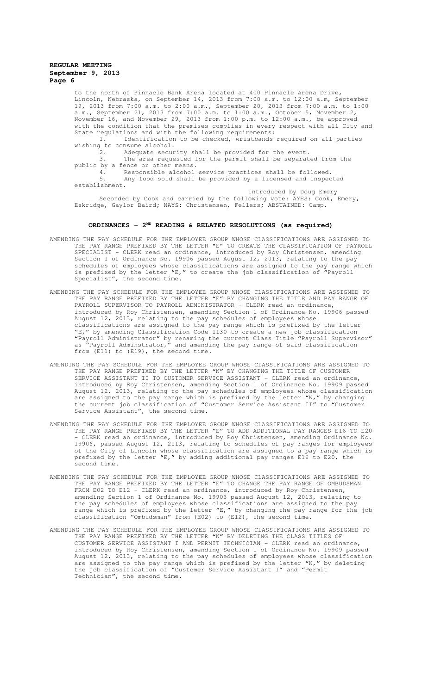to the north of Pinnacle Bank Arena located at 400 Pinnacle Arena Drive, Lincoln, Nebraska, on September 14, 2013 from 7:00 a.m. to 12:00 a.m, September 19, 2013 from 7:00 a.m. to 2:00 a.m., September 20, 2013 from 7:00 a.m. to 1:00 a.m., September 21, 2013 from 7:00 a.m. to 1:00 a.m., October 5, November 2, November 16, and November 29, 2013 from 1:00 p.m. to 12:00 a.m., be approved with the condition that the premises complies in every respect with all City and State regulations and with the following requirements:

1. Identification to be checked, wristbands required on all parties wishing to consume alcohol.

2. Adequate security shall be provided for the event.<br>3 The area requested for the permit shall be separat The area requested for the permit shall be separated from the

public by a fence or other means.<br>4. Responsible alcohol

4. Responsible alcohol service practices shall be followed.<br>5. Any food sold shall be provided by a licensed and inspec-Any food sold shall be provided by a licensed and inspected establishment.

Introduced by Doug Emery Seconded by Cook and carried by the following vote: AYES: Cook, Emery, Eskridge, Gaylor Baird; NAYS: Christensen, Fellers; ABSTAINED: Camp.

# **ORDINANCES - 2ND READING & RELATED RESOLUTIONS (as required)**

- AMENDING THE PAY SCHEDULE FOR THE EMPLOYEE GROUP WHOSE CLASSIFICATIONS ARE ASSIGNED TO THE PAY RANGE PREFIXED BY THE LETTER "E" TO CREATE THE CLASSIFICATION OF PAYROLL SPECIALIST - CLERK read an ordinance, introduced by Roy Christensen, amending Section 1 of Ordinance No. 19906 passed August 12, 2013, relating to the pay schedules of employees whose classifications are assigned to the pay range which is prefixed by the letter "E," to create the job classification of "Payroll Specialist", the second time.
- AMENDING THE PAY SCHEDULE FOR THE EMPLOYEE GROUP WHOSE CLASSIFICATIONS ARE ASSIGNED TO THE PAY RANGE PREFIXED BY THE LETTER "E" BY CHANGING THE TITLE AND PAY RANGE OF PAYROLL SUPERVISOR TO PAYROLL ADMINISTRATOR - CLERK read an ordinance, introduced by Roy Christensen, amending Section 1 of Ordinance No. 19906 passed August 12, 2013, relating to the pay schedules of employees whose classifications are assigned to the pay range which is prefixed by the letter "E," by amending Classification Code 1130 to create a new job classification "Payroll Administrator" by renaming the current Class Title "Payroll Supervisor" as "Payroll Adminstrator," and amending the pay range of said classification from (E11) to (E19), the second time.
- AMENDING THE PAY SCHEDULE FOR THE EMPLOYEE GROUP WHOSE CLASSIFICATIONS ARE ASSIGNED TO THE PAY RANGE PREFIXED BY THE LETTER "N" BY CHANGING THE TITLE OF CUSTOMER SERVICE ASSISTANT II TO CUSTOMER SERVICE ASSISTANT - CLERK read an ordinance, introduced by Roy Christensen, amending Section 1 of Ordinance No. 19909 passed August 12, 2013, relating to the pay schedules of employees whose classification are assigned to the pay range which is prefixed by the letter "N," by changing the current job classification of "Customer Service Assistant II" to "Customer Service Assistant", the second time.
- AMENDING THE PAY SCHEDULE FOR THE EMPLOYEE GROUP WHOSE CLASSIFICATIONS ARE ASSIGNED TO THE PAY RANGE PREFIXED BY THE LETTER "E" TO ADD ADDITIONAL PAY RANGES E16 TO E20 - CLERK read an ordinance, introduced by Roy Christensen, amending Ordinance No. 19906, passed August 12, 2013, relating to schedules of pay ranges for employees of the City of Lincoln whose classification are assigned to a pay range which is prefixed by the letter "E," by adding additional pay ranges E16 to E20, the second time.
- AMENDING THE PAY SCHEDULE FOR THE EMPLOYEE GROUP WHOSE CLASSIFICATIONS ARE ASSIGNED TO THE PAY RANGE PREFIXED BY THE LETTER "E" TO CHANGE THE PAY RANGE OF OMBUDSMAN FROM E02 TO E12 - CLERK read an ordinance, introduced by Roy Christensen, amending Section 1 of Ordinance No. 19906 passed August 12, 2013, relating to the pay schedules of employees whose classifications are assigned to the pay range which is prefixed by the letter "E," by changing the pay range for the job classification "Ombudsman" from (E02) to (E12), the second time.
- AMENDING THE PAY SCHEDULE FOR THE EMPLOYEE GROUP WHOSE CLASSIFICATIONS ARE ASSIGNED TO THE PAY RANGE PREFIXED BY THE LETTER "N" BY DELETING THE CLASS TITLES OF CUSTOMER SERVICE ASSISTANT I AND PERMIT TECHNICIAN - CLERK read an ordinance, introduced by Roy Christensen, amending Section 1 of Ordinance No. 19909 passed August 12, 2013, relating to the pay schedules of employees whose classification are assigned to the pay range which is prefixed by the letter "N," by deleting the job classification of "Customer Service Assistant I" and "Permit Technician", the second time.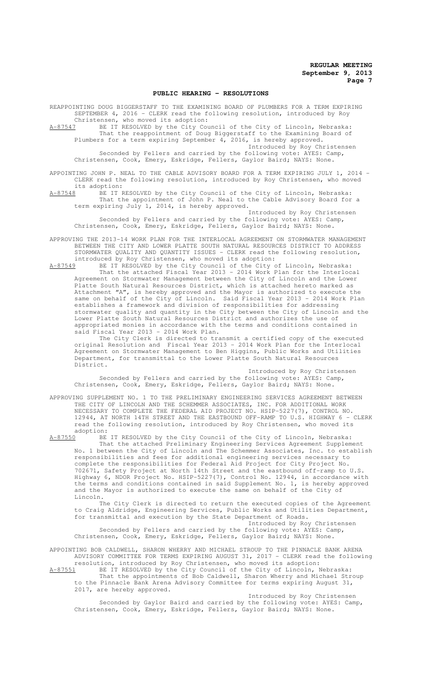#### **PUBLIC HEARING - RESOLUTIONS**

REAPPOINTING DOUG BIGGERSTAFF TO THE EXAMINING BOARD OF PLUMBERS FOR A TERM EXPIRING SEPTEMBER 4, 2016 - CLERK read the following resolution, introduced by Roy Christensen, who moved its adoption:

A-87547 BE IT RESOLVED by the City Council of the City of Lincoln, Nebraska: That the reappointment of Doug Biggerstaff to the Examining Board of Plumbers for a term expiring September 4, 2016, is hereby approved.

Introduced by Roy Christensen Seconded by Fellers and carried by the following vote: AYES: Camp, Christensen, Cook, Emery, Eskridge, Fellers, Gaylor Baird; NAYS: None.

APPOINTING JOHN P. NEAL TO THE CABLE ADVISORY BOARD FOR A TERM EXPIRING JULY 1, 2014 - CLERK read the following resolution, introduced by Roy Christensen, who moved

its adoption:<br><u>A-87548</u> BE IT F A-525 IT RESOLVED by the City Council of the City of Lincoln, Nebraska: That the appointment of John P. Neal to the Cable Advisory Board for a term expiring July 1, 2014, is hereby approved.

Introduced by Roy Christensen Seconded by Fellers and carried by the following vote: AYES: Camp, Christensen, Cook, Emery, Eskridge, Fellers, Gaylor Baird; NAYS: None.

APPROVING THE 2013-14 WORK PLAN FOR THE INTERLOCAL AGREEMENT ON STORMWATER MANAGEMENT BETWEEN THE CITY AND LOWER PLATTE SOUTH NATURAL RESOURCES DISTRICT TO ADDRESS STORMWATER QUALITY AND QUANTITY ISSUES - CLERK read the following resolution, introduced by Roy Christensen, who moved its adoption:

A-87549 BE IT RESOLVED by the City Council of the City of Lincoln, Nebraska: That the attached Fiscal Year 2013 - 2014 Work Plan for the Interlocal Agreement on Stormwater Management between the City of Lincoln and the Lower Platte South Natural Resources District, which is attached hereto marked as Attachment "A", is hereby approved and the Mayor is authorized to execute the same on behalf of the City of Lincoln. Said Fiscal Year 2013 - 2014 Work Plan establishes a framework and division of responsibilities for addressing stormwater quality and quantity in the City between the City of Lincoln and the Lower Platte South Natural Resources District and authorizes the use of appropriated monies in accordance with the terms and conditions contained in said Fiscal Year 2013 - 2014 Work Plan.

The City Clerk is directed to transmit a certified copy of the executed original Resolution and Fiscal Year 2013 - 2014 Work Plan for the Interlocal Agreement on Stormwater Management to Ben Higgins, Public Works and Utilities Department, for transmittal to the Lower Platte South Natural Resources District.

Introduced by Roy Christensen Seconded by Fellers and carried by the following vote: AYES: Camp, Christensen, Cook, Emery, Eskridge, Fellers, Gaylor Baird; NAYS: None.

APPROVING SUPPLEMENT NO. 1 TO THE PRELIMINARY ENGINEERING SERVICES AGREEMENT BETWEEN THE CITY OF LINCOLN AND THE SCHEMMER ASSOCIATES, INC. FOR ADDITIONAL WORK NECESSARY TO COMPLETE THE FEDERAL AID PROJECT NO. HSIP-5227(7), CONTROL NO. 12944, AT NORTH 14TH STREET AND THE EASTBOUND OFF-RAMP TO U.S. HIGHWAY 6 - CLERK read the following resolution, introduced by Roy Christensen, who moved its adoption:<br>A-87550 BE

BE IT RESOLVED by the City Council of the City of Lincoln, Nebraska: That the attached Preliminary Engineering Services Agreement Supplement No. 1 between the City of Lincoln and The Schemmer Associates, Inc. to establish responsibilities and fees for additional engineering services necessary to complete the responsibilities for Federal Aid Project for City Project No. 702671, Safety Project at North 14th Street and the eastbound off-ramp to U.S. Highway 6, NDOR Project No. HSIP-5227(7), Control No. 12944, in accordance with the terms and conditions contained in said Supplement No. 1, is hereby approved and the Mayor is authorized to execute the same on behalf of the City Lincoln.

The City Clerk is directed to return the executed copies of the Agreement to Craig Aldridge, Engineering Services, Public Works and Utilities Department, for transmittal and execution by the State Department of Roads. Introduced by Roy Christensen

Seconded by Fellers and carried by the following vote: AYES: Camp, Christensen, Cook, Emery, Eskridge, Fellers, Gaylor Baird; NAYS: None.

APPOINTING BOB CALDWELL, SHARON WHERRY AND MICHAEL STROUP TO THE PINNACLE BANK ARENA ADVISORY COMMITTEE FOR TERMS EXPIRING AUGUST 31, 2017 - CLERK read the following resolution, introduced by Roy Christensen, who moved its adoption:

A-87551 BE IT RESOLVED by the City Council of the City of Lincoln, Nebraska: That the appointments of Bob Caldwell, Sharon Wherry and Michael Stroup to the Pinnacle Bank Arena Advisory Committee for terms expiring August 31, 2017, are hereby approved.

Introduced by Roy Christensen Seconded by Gaylor Baird and carried by the following vote: AYES: Camp, Christensen, Cook, Emery, Eskridge, Fellers, Gaylor Baird; NAYS: None.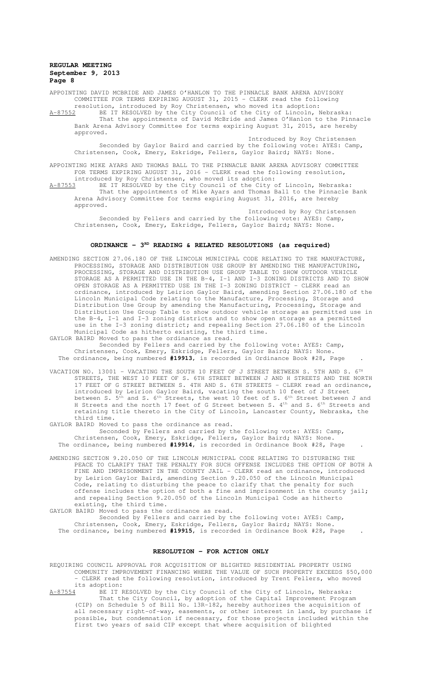APPOINTING DAVID MCBRIDE AND JAMES O'HANLON TO THE PINNACLE BANK ARENA ADVISORY COMMITTEE FOR TERMS EXPIRING AUGUST 31, 2015 - CLERK read the following resolution, introduced by Roy Christensen, who moved its adoption:

A-87552 BE IT RESOLVED by the City Council of the City of Lincoln, Nebraska: That the appointments of David McBride and James O'Hanlon to the Pinnacle Bank Arena Advisory Committee for terms expiring August 31, 2015, are hereby approved.

Introduced by Roy Christensen Seconded by Gaylor Baird and carried by the following vote: AYES: Camp, Christensen, Cook, Emery, Eskridge, Fellers, Gaylor Baird; NAYS: None.

APPOINTING MIKE AYARS AND THOMAS BALL TO THE PINNACLE BANK ARENA ADVISORY COMMITTEE FOR TERMS EXPIRING AUGUST 31, 2016 - CLERK read the following resolution, introduced by Roy Christensen, who moved its adoption:<br>A-87553 BE IT RESOLVED by the City Council of the City of

A-87553 BE IT RESOLVED by the City Council of the City of Lincoln, Nebraska: That the appointments of Mike Ayars and Thomas Ball to the Pinnacle Bank Arena Advisory Committee for terms expiring August 31, 2016, are hereby approved.

Introduced by Roy Christensen Seconded by Fellers and carried by the following vote: AYES: Camp, Christensen, Cook, Emery, Eskridge, Fellers, Gaylor Baird; NAYS: None.

#### ORDINANCE - 3<sup>RD</sup> READING & RELATED RESOLUTIONS (as required)

AMENDING SECTION 27.06.180 OF THE LINCOLN MUNICIPAL CODE RELATING TO THE MANUFACTURE, PROCESSING, STORAGE AND DISTRIBUTION USE GROUP BY AMENDING THE MANUFACTURING, PROCESSING, STORAGE AND DISTRIBUTION USE GROUP TABLE TO SHOW OUTDOOR VEHICLE STORAGE AS A PERMITTED USE IN THE B-4, I-1 AND I-3 ZONING DISTRICTS AND TO SHOW OPEN STORAGE AS A PERMITTED USE IN THE I-3 ZONING DISTRICT - CLERK read an ordinance, introduced by Leirion Gaylor Baird, amending Section 27.06.180 of the Lincoln Municipal Code relating to the Manufacture, Processing, Storage and Distribution Use Group by amending the Manufacturing, Processing, Storage and Distribution Use Group Table to show outdoor vehicle storage as permitted use in the B-4, I-1 and I-3 zoning districts and to show open storage as a permitted use in the I-3 zoning district; and repealing Section 27.06.180 of the Lincoln Municipal Code as hitherto existing, the third time.

GAYLOR BAIRD Moved to pass the ordinance as read. Seconded by Fellers and carried by the following vote: AYES: Camp, Christensen, Cook, Emery, Eskridge, Fellers, Gaylor Baird; NAYS: None. The ordinance, being numbered **#19913**, is recorded in Ordinance Book #28, Page .

VACATION NO. 13001 – VACATING THE SOUTH 10 FEET OF J STREET BETWEEN S. 5TH AND S.  $6^\text{\tiny{TH}}$ STREETS, THE WEST 10 FEET OF S. 6TH STREET BETWEEN J AND H STREETS AND THE NORTH 17 FEET OF G STREET BETWEEN S. 4TH AND S. 6TH STREETS - CLERK read an ordinance, introduced by Leirion Gaylor Baird, vacating the south 10 feet of J Street between S.  $5^{\text{th}}$  and S.  $6^{\text{th}}$  Streets, the west 10 feet of S.  $6^{\text{th}}$  Street between J and H Streets and the north 17 feet of G Street between S. 4<sup>th</sup> and S. 6<sup>th</sup> Streets and retaining title thereto in the City of Lincoln, Lancaster County, Nebraska, the third time.

GAYLOR BAIRD Moved to pass the ordinance as read. Seconded by Fellers and carried by the following vote: AYES: Camp, Christensen, Cook, Emery, Eskridge, Fellers, Gaylor Baird; NAYS: None. The ordinance, being numbered **#19914**, is recorded in Ordinance Book #28, Page .

AMENDING SECTION 9.20.050 OF THE LINCOLN MUNICIPAL CODE RELATING TO DISTURBING THE PEACE TO CLARIFY THAT THE PENALTY FOR SUCH OFFENSE INCLUDES THE OPTION OF BOTH A FINE AND IMPRISONMENT IN THE COUNTY JAIL - CLERK read an ordinance, introduced by Leirion Gaylor Baird, amending Section 9.20.050 of the Lincoln Municipal Code, relating to disturbing the peace to clarify that the penalty for such offense includes the option of both a fine and imprisonment in the county jail; and repealing Section 9.20.050 of the Lincoln Municipal Code as hitherto existing, the third time.

GAYLOR BAIRD Moved to pass the ordinance as read.

Seconded by Fellers and carried by the following vote: AYES: Camp, Christensen, Cook, Emery, Eskridge, Fellers, Gaylor Baird; NAYS: None. The ordinance, being numbered **#19915**, is recorded in Ordinance Book #28, Page .

## **RESOLUTION - FOR ACTION ONLY**

REQUIRING COUNCIL APPROVAL FOR ACQUISITION OF BLIGHTED RESIDENTIAL PROPERTY USING COMMUNITY IMPROVEMENT FINANCING WHERE THE VALUE OF SUCH PROPERTY EXCEEDS \$50,000 - CLERK read the following resolution, introduced by Trent Fellers, who moved

its adoption:<br>A-87554 BE IT I BE IT RESOLVED by the City Council of the City of Lincoln, Nebraska: That the City Council, by adoption of the Capital Improvement Program (CIP) on Schedule 5 of Bill No. 13R-182, hereby authorizes the acquisition of all necessary right-of-way, easements, or other interest in land, by purchase if possible, but condemnation if necessary, for those projects included within the first two years of said CIP except that where acquisition of blighted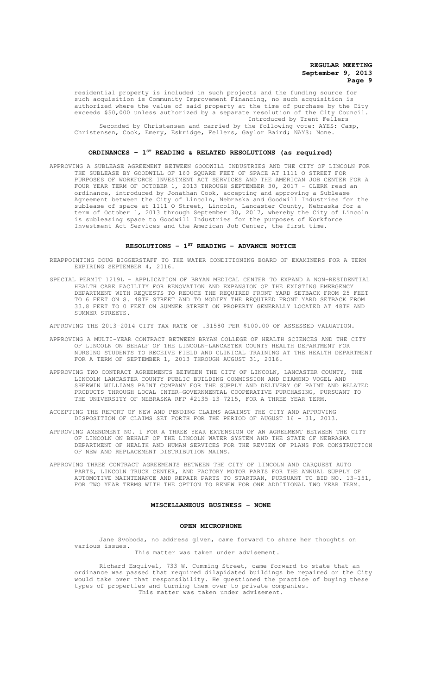residential property is included in such projects and the funding source for such acquisition is Community Improvement Financing, no such acquisition is authorized where the value of said property at the time of purchase by the City exceeds \$50,000 unless authorized by a separate resolution of the City Council. Introduced by Trent Fellers

Seconded by Christensen and carried by the following vote: AYES: Camp, Christensen, Cook, Emery, Eskridge, Fellers, Gaylor Baird; NAYS: None.

# **ORDINANCES - 1ST READING & RELATED RESOLUTIONS (as required)**

APPROVING A SUBLEASE AGREEMENT BETWEEN GOODWILL INDUSTRIES AND THE CITY OF LINCOLN FOR THE SUBLEASE BY GOODWILL OF 160 SQUARE FEET OF SPACE AT 1111 O STREET FOR PURPOSES OF WORKFORCE INVESTMENT ACT SERVICES AND THE AMERICAN JOB CENTER FOR A FOUR YEAR TERM OF OCTOBER 1, 2013 THROUGH SEPTEMBER 30, 2017 - CLERK read an ordinance, introduced by Jonathan Cook, accepting and approving a Sublease Agreement between the City of Lincoln, Nebraska and Goodwill Industries for the sublease of space at 1111 O Street, Lincoln, Lancaster County, Nebraska for a term of October 1, 2013 through September 30, 2017, whereby the City of Lincoln is subleasing space to Goodwill Industries for the purposes of Workforce Investment Act Services and the American Job Center, the first time.

## **RESOLUTIONS - 1ST READING - ADVANCE NOTICE**

- REAPPOINTING DOUG BIGGERSTAFF TO THE WATER CONDITIONING BOARD OF EXAMINERS FOR A TERM EXPIRING SEPTEMBER 4, 2016.
- SPECIAL PERMIT 1219L APPLICATION OF BRYAN MEDICAL CENTER TO EXPAND A NON-RESIDENTIAL HEALTH CARE FACILITY FOR RENOVATION AND EXPANSION OF THE EXISTING EMERGENCY DEPARTMENT WITH REQUESTS TO REDUCE THE REQUIRED FRONT YARD SETBACK FROM 25 FEET TO 6 FEET ON S. 48TH STREET AND TO MODIFY THE REQUIRED FRONT YARD SETBACK FROM 33.8 FEET TO 0 FEET ON SUMNER STREET ON PROPERTY GENERALLY LOCATED AT 48TH AND SUMNER STREETS.

APPROVING THE 2013-2014 CITY TAX RATE OF .31580 PER \$100.00 OF ASSESSED VALUATION.

- APPROVING A MULTI-YEAR CONTRACT BETWEEN BRYAN COLLEGE OF HEALTH SCIENCES AND THE CITY OF LINCOLN ON BEHALF OF THE LINCOLN-LANCASTER COUNTY HEALTH DEPARTMENT FOR NURSING STUDENTS TO RECEIVE FIELD AND CLINICAL TRAINING AT THE HEALTH DEPARTMENT FOR A TERM OF SEPTEMBER 1, 2013 THROUGH AUGUST 31, 2016.
- APPROVING TWO CONTRACT AGREEMENTS BETWEEN THE CITY OF LINCOLN, LANCASTER COUNTY, THE LINCOLN LANCASTER COUNTY PUBLIC BUILDING COMMISSION AND DIAMOND VOGEL AND SHERWIN WILLIAMS PAINT COMPANY FOR THE SUPPLY AND DELIVERY OF PAINT AND RELATED PRODUCTS THROUGH LOCAL INTER-GOVERNMENTAL COOPERATIVE PURCHASING, PURSUANT TO THE UNIVERSITY OF NEBRASKA RFP #2135-13-7215, FOR A THREE YEAR TERM.
- ACCEPTING THE REPORT OF NEW AND PENDING CLAIMS AGAINST THE CITY AND APPROVING DISPOSITION OF CLAIMS SET FORTH FOR THE PERIOD OF AUGUST 16 - 31, 2013.
- APPROVING AMENDMENT NO. 1 FOR A THREE YEAR EXTENSION OF AN AGREEMENT BETWEEN THE CITY OF LINCOLN ON BEHALF OF THE LINCOLN WATER SYSTEM AND THE STATE OF NEBRASKA DEPARTMENT OF HEALTH AND HUMAN SERVICES FOR THE REVIEW OF PLANS FOR CONSTRUCTION OF NEW AND REPLACEMENT DISTRIBUTION MAINS.
- APPROVING THREE CONTRACT AGREEMENTS BETWEEN THE CITY OF LINCOLN AND CARQUEST AUTO PARTS, LINCOLN TRUCK CENTER, AND FACTORY MOTOR PARTS FOR THE ANNUAL SUPPLY OF AUTOMOTIVE MAINTENANCE AND REPAIR PARTS TO STARTRAN, PURSUANT TO BID NO. 13-151, FOR TWO YEAR TERMS WITH THE OPTION TO RENEW FOR ONE ADDITIONAL TWO YEAR TERM.

#### **MISCELLANEOUS BUSINESS - NONE**

#### **OPEN MICROPHONE**

Jane Svoboda, no address given, came forward to share her thoughts on various issues.

This matter was taken under advisement.

Richard Esquivel, 733 W. Cumming Street, came forward to state that an ordinance was passed that required dilapidated buildings be repaired or the City would take over that responsibility. He questioned the practice of buying these types of properties and turning them over to private companies. This matter was taken under advisement.